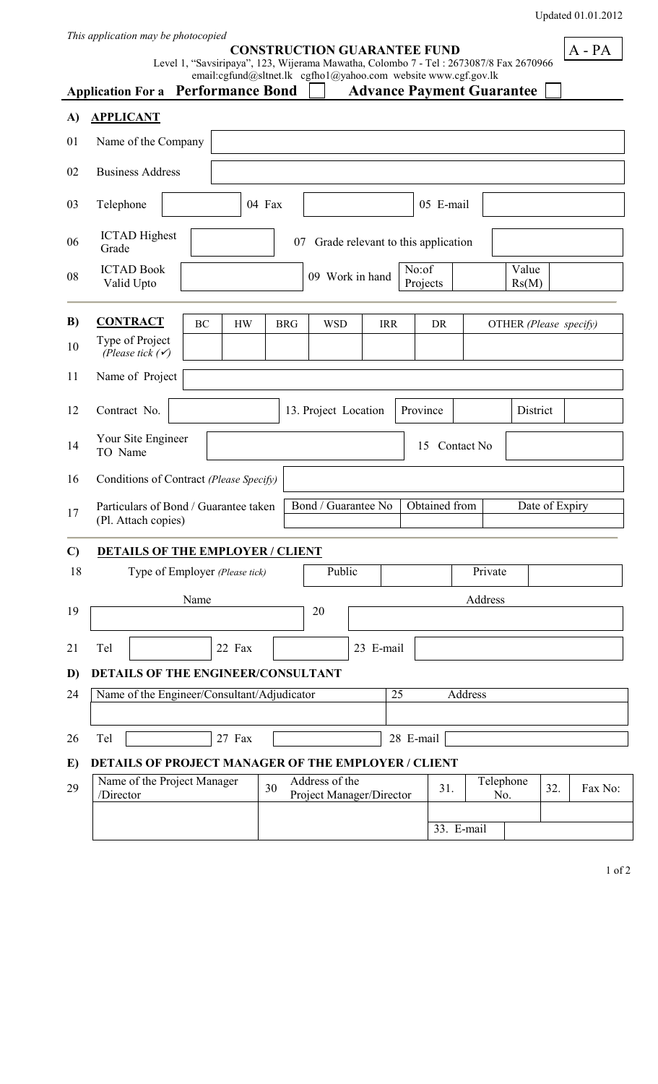Updated 01.01.2012

A - PA

| This application may be photocopied |  |  |  |  |  |  |  |
|-------------------------------------|--|--|--|--|--|--|--|
|-------------------------------------|--|--|--|--|--|--|--|

#### **CONSTRUCTION GUARANTEE FUND**

Level 1, "Savsiripaya", 123, Wijerama Mawatha, Colombo 7 - Tel : 2673087/8 Fax 2670966

|              | <b>Application For a</b>                                     | <b>Performance Bond</b>        |            | email:cgfund@sltnet.lk cgfho1@yahoo.com website www.cgf.gov.lk |            |                |                | <b>Advance Payment Guarantee</b> |                        |         |  |  |  |  |
|--------------|--------------------------------------------------------------|--------------------------------|------------|----------------------------------------------------------------|------------|----------------|----------------|----------------------------------|------------------------|---------|--|--|--|--|
| A)           | <b>APPLICANT</b>                                             |                                |            |                                                                |            |                |                |                                  |                        |         |  |  |  |  |
| 01           | Name of the Company                                          |                                |            |                                                                |            |                |                |                                  |                        |         |  |  |  |  |
| 02           | <b>Business Address</b>                                      |                                |            |                                                                |            |                |                |                                  |                        |         |  |  |  |  |
| 03           | Telephone                                                    |                                | 04 Fax     |                                                                |            |                | 05 E-mail      |                                  |                        |         |  |  |  |  |
| 06           | <b>ICTAD</b> Highest<br>Grade                                |                                |            | 07 Grade relevant to this application                          |            |                |                |                                  |                        |         |  |  |  |  |
| 08           | <b>ICTAD Book</b><br>Valid Upto                              |                                |            | 09 Work in hand                                                |            | Value<br>Rs(M) |                |                                  |                        |         |  |  |  |  |
| B)           | <b>CONTRACT</b>                                              | BC<br><b>HW</b>                | <b>BRG</b> | <b>WSD</b>                                                     | <b>IRR</b> |                | DR             |                                  | OTHER (Please specify) |         |  |  |  |  |
| 10           | Type of Project<br>(Please tick $(\checkmark)$               |                                |            |                                                                |            |                |                |                                  |                        |         |  |  |  |  |
| 11           | Name of Project                                              |                                |            |                                                                |            |                |                |                                  |                        |         |  |  |  |  |
| 12           | Contract No.<br>13. Project Location<br>Province<br>District |                                |            |                                                                |            |                |                |                                  |                        |         |  |  |  |  |
| 14           | Your Site Engineer<br>15<br>Contact No<br>TO Name            |                                |            |                                                                |            |                |                |                                  |                        |         |  |  |  |  |
| 16           | Conditions of Contract (Please Specify)                      |                                |            |                                                                |            |                |                |                                  |                        |         |  |  |  |  |
| 17           | Particulars of Bond / Guarantee taken<br>(Pl. Attach copies) |                                |            | Bond / Guarantee No                                            |            | Obtained from  | Date of Expiry |                                  |                        |         |  |  |  |  |
| $\mathbf{C}$ | <b>DETAILS OF THE EMPLOYER / CLIENT</b>                      |                                |            |                                                                |            |                |                |                                  |                        |         |  |  |  |  |
| 18           |                                                              | Type of Employer (Please tick) |            | Public                                                         |            |                |                | Private                          |                        |         |  |  |  |  |
| 19           |                                                              | Name                           |            | 20                                                             |            |                |                | Address                          |                        |         |  |  |  |  |
|              |                                                              |                                |            |                                                                |            |                |                |                                  |                        |         |  |  |  |  |
| 21           | Tel<br><b>DETAILS OF THE ENGINEER/CONSULTANT</b>             | 22 Fax                         |            |                                                                | 23 E-mail  |                |                |                                  |                        |         |  |  |  |  |
| D)<br>24     | Name of the Engineer/Consultant/Adjudicator                  |                                |            |                                                                |            | 25             |                | Address                          |                        |         |  |  |  |  |
|              |                                                              |                                |            |                                                                |            |                |                |                                  |                        |         |  |  |  |  |
| 26           | Tel                                                          | 27 Fax                         |            |                                                                |            | 28 E-mail      |                |                                  |                        |         |  |  |  |  |
| E)           | DETAILS OF PROJECT MANAGER OF THE EMPLOYER / CLIENT          |                                |            |                                                                |            |                |                |                                  |                        |         |  |  |  |  |
| 29           | Name of the Project Manager<br>/Director                     |                                | 30         | Address of the<br>Project Manager/Director                     |            |                | 31.            | Telephone<br>No.                 | 32.                    | Fax No: |  |  |  |  |
|              |                                                              |                                |            |                                                                |            |                | 33. E-mail     |                                  |                        |         |  |  |  |  |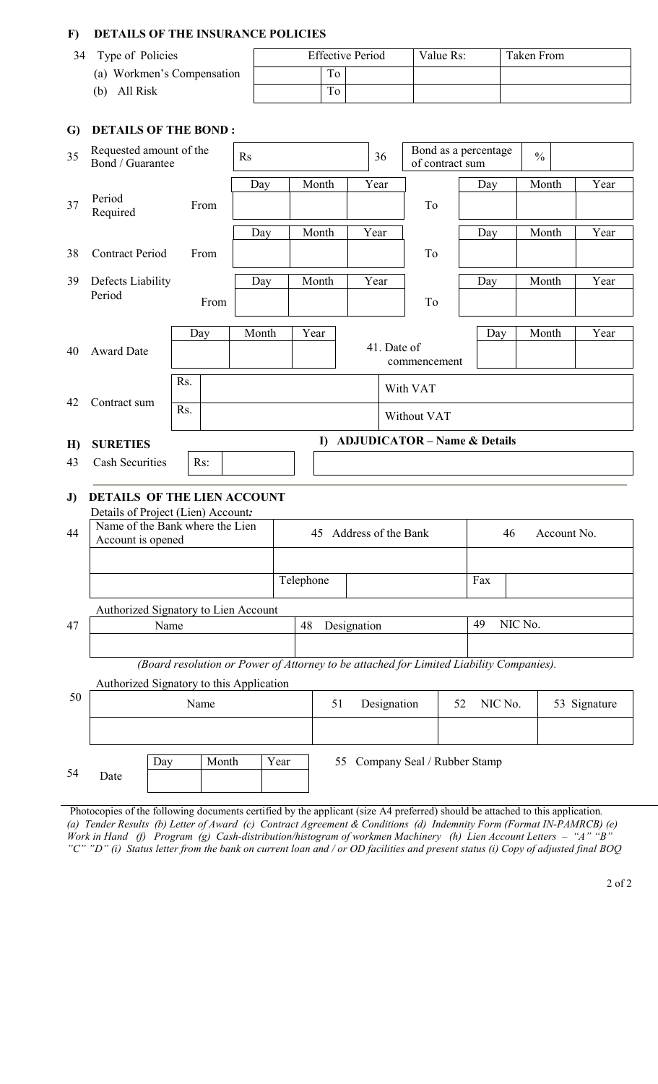## **F) DETAILS OF THE INSURANCE POLICIES**

| 34<br>Type of Policies     | <b>Effective Period</b> | Value Rs: | Taken From |
|----------------------------|-------------------------|-----------|------------|
| (a) Workmen's Compensation | To                      |           |            |
| All Risk<br>(b)            | To                      |           |            |

## **G) DETAILS OF THE BOND :**

| 35 | Requested amount of the<br>Bond / Guarantee                           |      |       | $\mathbf{R}$ s |                           |           |          |             | 36          | of contract sum                                                                         |              | Bond as a percentage<br>$\frac{0}{0}$ |         |             |              |  |  |  |
|----|-----------------------------------------------------------------------|------|-------|----------------|---------------------------|-----------|----------|-------------|-------------|-----------------------------------------------------------------------------------------|--------------|---------------------------------------|---------|-------------|--------------|--|--|--|
|    |                                                                       |      |       | Day            |                           |           | Month    | Year        |             |                                                                                         |              | Day                                   |         | Month       | Year         |  |  |  |
| 37 | Period<br>Required                                                    |      | From  |                |                           |           |          |             |             | To                                                                                      |              |                                       |         |             |              |  |  |  |
|    |                                                                       |      |       | Day            |                           |           | Month    | Year        |             |                                                                                         |              | Day                                   |         | Month       | Year         |  |  |  |
| 38 | <b>Contract Period</b>                                                |      | From  |                |                           |           |          |             |             | To                                                                                      |              |                                       |         |             |              |  |  |  |
| 39 | Defects Liability                                                     |      |       | Day            |                           |           | Month    | Year        |             |                                                                                         |              | Day                                   |         | Month       | Year         |  |  |  |
|    | Period                                                                |      | From  |                |                           |           |          |             |             | To                                                                                      |              |                                       |         |             |              |  |  |  |
|    |                                                                       |      | Day   | Month          |                           | Year      |          |             |             |                                                                                         |              | Day                                   |         | Month       | Year         |  |  |  |
| 40 | <b>Award Date</b>                                                     |      |       |                | 41. Date of               |           |          |             |             |                                                                                         | commencement |                                       |         |             |              |  |  |  |
|    |                                                                       | Rs.  |       |                | With VAT                  |           |          |             |             |                                                                                         |              |                                       |         |             |              |  |  |  |
| 42 | Contract sum                                                          | Rs.  |       |                | Without VAT               |           |          |             |             |                                                                                         |              |                                       |         |             |              |  |  |  |
| H) | <b>SURETIES</b>                                                       |      |       |                |                           |           | $\bf{D}$ |             |             | <b>ADJUDICATOR - Name &amp; Details</b>                                                 |              |                                       |         |             |              |  |  |  |
| 43 | <b>Cash Securities</b>                                                |      | Rs:   |                |                           |           |          |             |             |                                                                                         |              |                                       |         |             |              |  |  |  |
| J) | <b>DETAILS OF THE LIEN ACCOUNT</b>                                    |      |       |                |                           |           |          |             |             |                                                                                         |              |                                       |         |             |              |  |  |  |
| 44 | Details of Project (Lien) Account:<br>Name of the Bank where the Lien |      |       |                | Address of the Bank<br>45 |           |          |             |             |                                                                                         |              | 46                                    |         | Account No. |              |  |  |  |
|    | Account is opened                                                     |      |       |                |                           |           |          |             |             |                                                                                         |              |                                       |         |             |              |  |  |  |
|    |                                                                       |      |       |                |                           | Telephone |          |             |             |                                                                                         |              | Fax                                   |         |             |              |  |  |  |
|    | Authorized Signatory to Lien Account                                  |      |       |                |                           |           |          |             |             |                                                                                         |              |                                       |         |             |              |  |  |  |
| 47 |                                                                       | Name |       |                |                           | 48        |          | Designation |             |                                                                                         |              | 49                                    | NIC No. |             |              |  |  |  |
|    |                                                                       |      |       |                |                           |           |          |             |             |                                                                                         |              |                                       |         |             |              |  |  |  |
|    |                                                                       |      |       |                |                           |           |          |             |             | (Board resolution or Power of Attorney to be attached for Limited Liability Companies). |              |                                       |         |             |              |  |  |  |
| 50 | Authorized Signatory to this Application                              |      |       |                |                           |           |          |             |             |                                                                                         |              |                                       |         |             |              |  |  |  |
|    |                                                                       |      | Name  |                |                           |           | 51       |             | Designation |                                                                                         | 52           | NIC No.                               |         |             | 53 Signature |  |  |  |
|    |                                                                       |      |       |                |                           |           |          |             |             |                                                                                         |              |                                       |         |             |              |  |  |  |
|    |                                                                       | Day  | Month |                | Year                      |           | 55       |             |             | Company Seal / Rubber Stamp                                                             |              |                                       |         |             |              |  |  |  |
| 54 | Date                                                                  |      |       |                |                           |           |          |             |             |                                                                                         |              |                                       |         |             |              |  |  |  |
|    |                                                                       |      |       |                |                           |           |          |             |             |                                                                                         |              |                                       |         |             |              |  |  |  |

Photocopies of the following documents certified by the applicant (size A4 preferred) should be attached to this application*. (a) Tender Results (b) Letter of Award (c) Contract Agreement & Conditions (d) Indemnity Form (Format IN-PAMRCB) (e) Work in Hand (f) Program (g) Cash-distribution/histogram of workmen Machinery (h) Lien Account Letters – "A" "B" "C" "D" (i) Status letter from the bank on current loan and / or OD facilities and present status (i) Copy of adjusted final BOQ*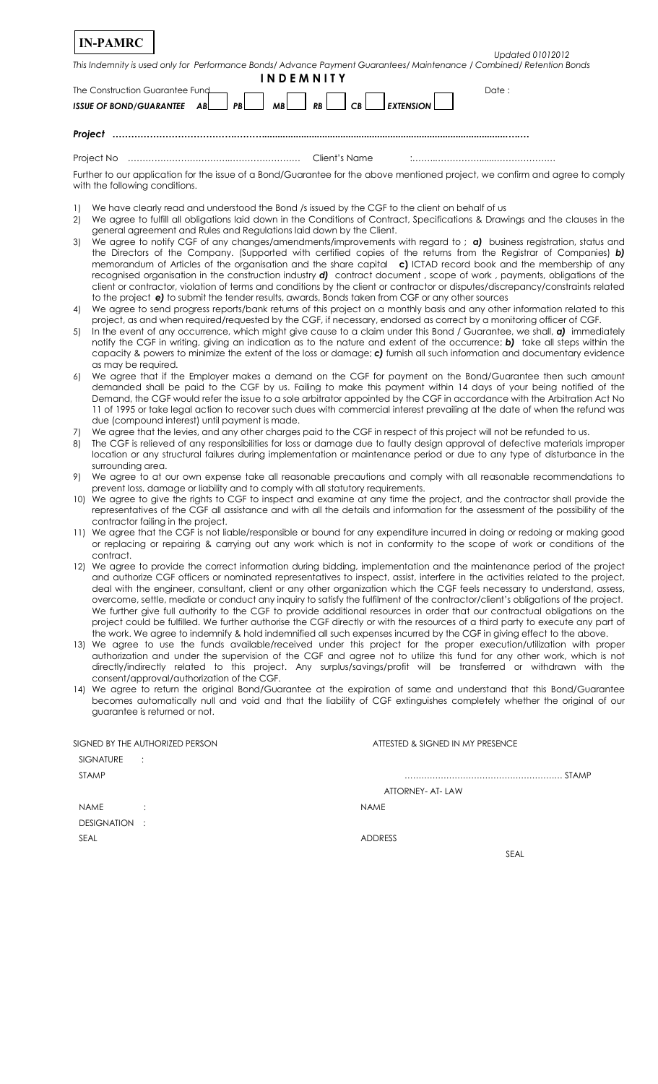| <b>IN-PAMRC</b>                                                                                                                                                |                  |
|----------------------------------------------------------------------------------------------------------------------------------------------------------------|------------------|
|                                                                                                                                                                | Updated 01012012 |
| This Indemnity is used only for Performance Bonds/Advance Payment Guarantees/Maintenance / Combined/Retention Bonds                                            |                  |
| <b>INDEMNITY</b>                                                                                                                                               |                  |
| The Construction Guarantee Fund                                                                                                                                | Date:            |
| $ISSUE OF BOND/GUARANTEE AB$ $AB$ $BB$ $BB$<br>$\mathsf{EXT}$ EXTENSION $\mathsf{\mathsf{I}}$<br>RB <sup>1</sup><br>CB                                         |                  |
|                                                                                                                                                                |                  |
|                                                                                                                                                                |                  |
| Project                                                                                                                                                        |                  |
| Client's Name                                                                                                                                                  |                  |
|                                                                                                                                                                |                  |
| Further to our application for the issue of a Bond/Guarantee for the above mentioned project, we confirm and agree to comply<br>with the following conditions. |                  |

- 1) We have clearly read and understood the Bond /s issued by the CGF to the client on behalf of us
- 2) We agree to fulfill all obligations laid down in the Conditions of Contract, Specifications & Drawings and the clauses in the general agreement and Rules and Regulations laid down by the Client.
- 3) We agree to notify CGF of any changes/amendments/improvements with regard to ; *a)*business registration, status and the Directors of the Company. (Supported with certified copies of the returns from the Registrar of Companies) *b)* memorandum of Articles of the organisation and the share capital **c)** ICTAD record book and the membership of any recognised organisation in the construction industry *d)* contract document , scope of work , payments, obligations of the client or contractor, violation of terms and conditions by the client or contractor or disputes/discrepancy/constraints related to the project *e)* to submit the tender results, awards, Bonds taken from CGF or any other sources
- 4) We agree to send progress reports/bank returns of this project on a monthly basis and any other information related to this project, as and when required/requested by the CGF, if necessary, endorsed as correct by a monitoring officer of CGF.
- 5) In the event of any occurrence, which might give cause to a claim under this Bond / Guarantee, we shall, *a)*immediately notify the CGF in writing, giving an indication as to the nature and extent of the occurrence; *b)*take all steps within the capacity & powers to minimize the extent of the loss or damage; *c)* furnish all such information and documentary evidence as may be required.
- 6) We agree that if the Employer makes a demand on the CGF for payment on the Bond/Guarantee then such amount demanded shall be paid to the CGF by us. Failing to make this payment within 14 days of your being notified of the Demand, the CGF would refer the issue to a sole arbitrator appointed by the CGF in accordance with the Arbitration Act No 11 of 1995 or take legal action to recover such dues with commercial interest prevailing at the date of when the refund was due (compound interest) until payment is made.
- 7) We agree that the levies, and any other charges paid to the CGF in respect of this project will not be refunded to us.
- 8) The CGF is relieved of any responsibilities for loss or damage due to faulty design approval of defective materials improper location or any structural failures during implementation or maintenance period or due to any type of disturbance in the surrounding area.
- 9) We agree to at our own expense take all reasonable precautions and comply with all reasonable recommendations to prevent loss, damage or liability and to comply with all statutory requirements.
- 10) We agree to give the rights to CGF to inspect and examine at any time the project, and the contractor shall provide the representatives of the CGF all assistance and with all the details and information for the assessment of the possibility of the contractor failing in the project.
- 11) We agree that the CGF is not liable/responsible or bound for any expenditure incurred in doing or redoing or making good or replacing or repairing & carrying out any work which is not in conformity to the scope of work or conditions of the contract.
- 12) We agree to provide the correct information during bidding, implementation and the maintenance period of the project and authorize CGF officers or nominated representatives to inspect, assist, interfere in the activities related to the project, deal with the engineer, consultant, client or any other organization which the CGF feels necessary to understand, assess, overcome, settle, mediate or conduct any inquiry to satisfy the fulfilment of the contractor/client's obligations of the project. We further give full authority to the CGF to provide additional resources in order that our contractual obligations on the project could be fulfilled. We further authorise the CGF directly or with the resources of a third party to execute any part of the work. We agree to indemnify & hold indemnified all such expenses incurred by the CGF in giving effect to the above.
- 13) We agree to use the funds available/received under this project for the proper execution/utilization with proper authorization and under the supervision of the CGF and agree not to utilize this fund for any other work, which is not directly/indirectly related to this project. Any surplus/savings/profit will be transferred or withdrawn with the consent/approval/authorization of the CGF.
- 14) We agree to return the original Bond/Guarantee at the expiration of same and understand that this Bond/Guarantee becomes automatically null and void and that the liability of CGF extinguishes completely whether the original of our guarantee is returned or not.

| SIGNED BY THE AUTHORIZED PERSON | ATTESTED & SIGNED IN MY PRESENCE |  |
|---------------------------------|----------------------------------|--|
| <b>SIGNATURE</b><br>$\sim$ 1.   |                                  |  |
| <b>STAMP</b>                    | <b>STAMP</b>                     |  |
|                                 | ATTORNEY- AT- LAW                |  |
| <b>NAME</b><br>÷                | <b>NAME</b>                      |  |
| DESIGNATION<br>÷                |                                  |  |
| SEAL                            | <b>ADDRESS</b>                   |  |
|                                 | SEAL                             |  |
|                                 |                                  |  |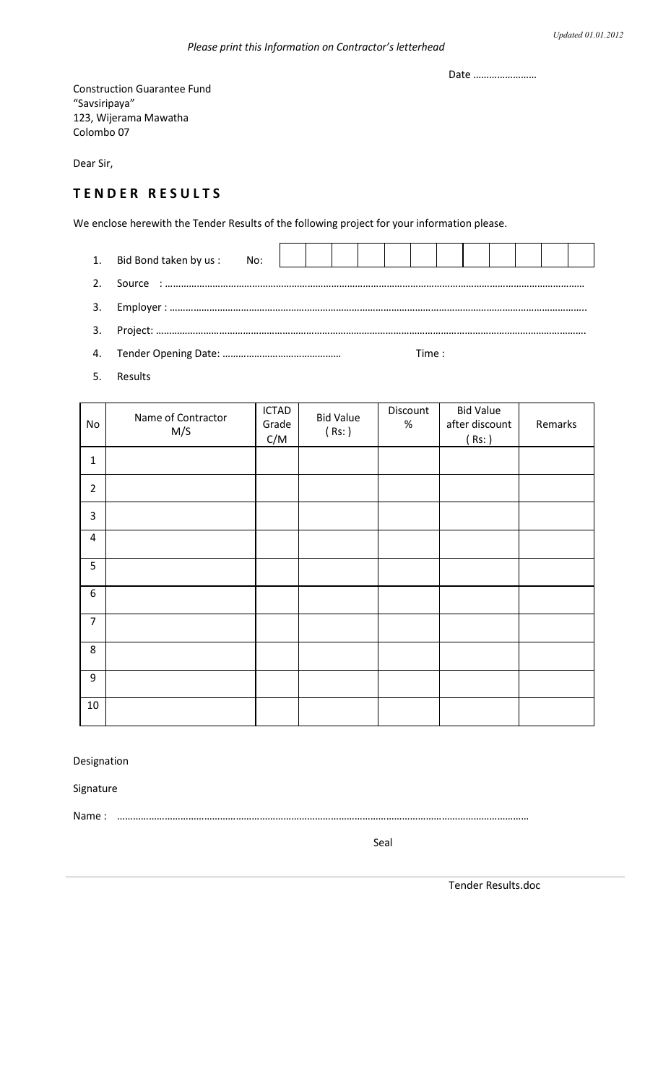Date ……………………

Construction Guarantee Fund "Savsiripaya" 123, Wijerama Mawatha Colombo 07

Dear Sir,

# **T E N D E R R E S U L T S**

We enclose herewith the Tender Results of the following project for your information please.

1. Bid Bond taken by us : No: 2. Source : …………………………………………………………………………………………………………………………………………… 3. Employer : ………………………………………………………………………………………………………………………………………….. 3. Project: ……………………………………………………………………………………………………………………………………………….

- 4. Tender Opening Date: ……………………………………… Time :
- 5. Results

| No             | Name of Contractor<br>M/S | <b>ICTAD</b><br>Grade<br>C/M | <b>Bid Value</b><br>(Rs: ) | Discount<br>$\%$ | <b>Bid Value</b><br>after discount<br>(Rs: ) | Remarks |
|----------------|---------------------------|------------------------------|----------------------------|------------------|----------------------------------------------|---------|
| $\mathbf 1$    |                           |                              |                            |                  |                                              |         |
| $\overline{2}$ |                           |                              |                            |                  |                                              |         |
| $\overline{3}$ |                           |                              |                            |                  |                                              |         |
| $\overline{4}$ |                           |                              |                            |                  |                                              |         |
| 5              |                           |                              |                            |                  |                                              |         |
| $6\phantom{1}$ |                           |                              |                            |                  |                                              |         |
| $\overline{7}$ |                           |                              |                            |                  |                                              |         |
| 8              |                           |                              |                            |                  |                                              |         |
| 9              |                           |                              |                            |                  |                                              |         |
| 10             |                           |                              |                            |                  |                                              |         |

### Designation

Signature

Name : …………………………………………………………………………………………………………………………………………

Seal

Tender Results.doc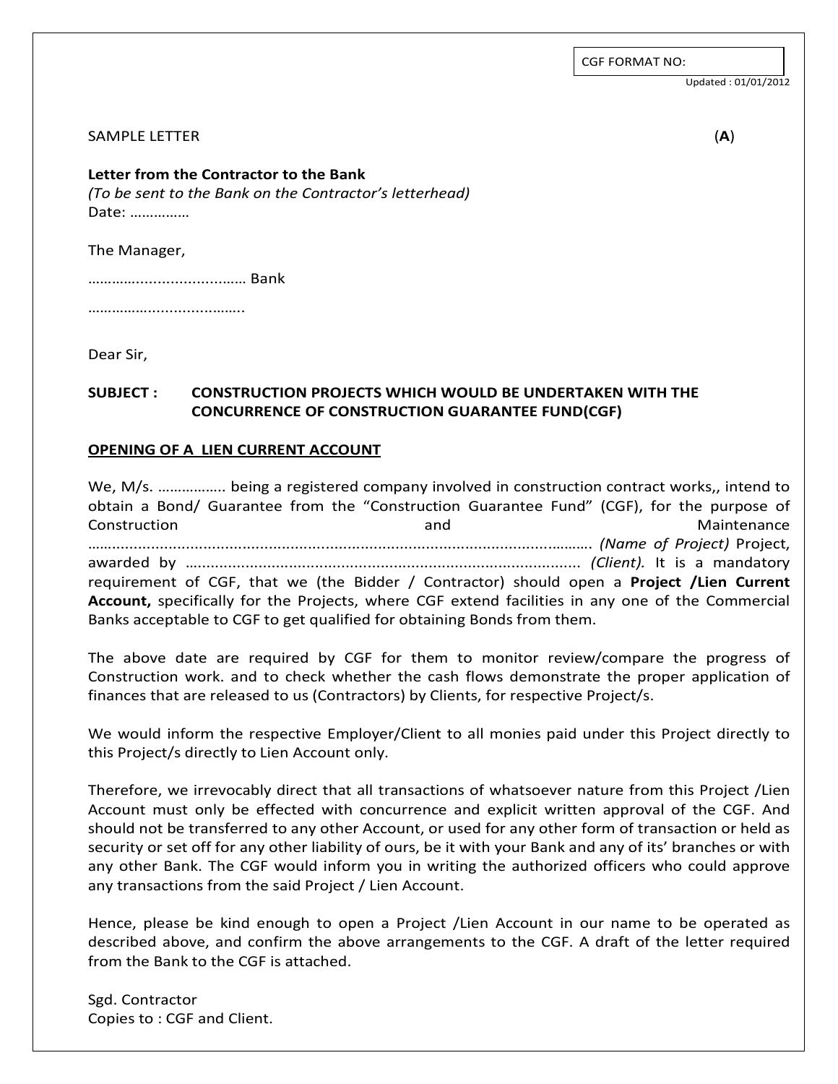CGF FORMAT NO:

Updated : 01/01/2012

#### SAMPLE LETTER (**A**)

**Letter from the Contractor to the Bank**  *(To be sent to the Bank on the Contractor's letterhead)*  Date: ……………

The Manager,

…………....................…… Bank

…………………………………………

Dear Sir,

## **SUBJECT : CONSTRUCTION PROJECTS WHICH WOULD BE UNDERTAKEN WITH THE CONCURRENCE OF CONSTRUCTION GUARANTEE FUND(CGF)**

### **OPENING OF A LIEN CURRENT ACCOUNT**

We, M/s. …………….. being a registered company involved in construction contract works,, intend to obtain a Bond/ Guarantee from the "Construction Guarantee Fund" (CGF), for the purpose of Construction and Maintenance …….....................................................................................................………. *(Name of Project)* Project, awarded by …........................................................................................ *(Client).* It is a mandatory requirement of CGF, that we (the Bidder / Contractor) should open a **Project /Lien Current Account,** specifically for the Projects, where CGF extend facilities in any one of the Commercial Banks acceptable to CGF to get qualified for obtaining Bonds from them.

The above date are required by CGF for them to monitor review/compare the progress of Construction work. and to check whether the cash flows demonstrate the proper application of finances that are released to us (Contractors) by Clients, for respective Project/s.

We would inform the respective Employer/Client to all monies paid under this Project directly to this Project/s directly to Lien Account only.

Therefore, we irrevocably direct that all transactions of whatsoever nature from this Project /Lien Account must only be effected with concurrence and explicit written approval of the CGF. And should not be transferred to any other Account, or used for any other form of transaction or held as security or set off for any other liability of ours, be it with your Bank and any of its' branches or with any other Bank. The CGF would inform you in writing the authorized officers who could approve any transactions from the said Project / Lien Account.

Hence, please be kind enough to open a Project /Lien Account in our name to be operated as described above, and confirm the above arrangements to the CGF. A draft of the letter required from the Bank to the CGF is attached.

Sgd. Contractor Copies to : CGF and Client.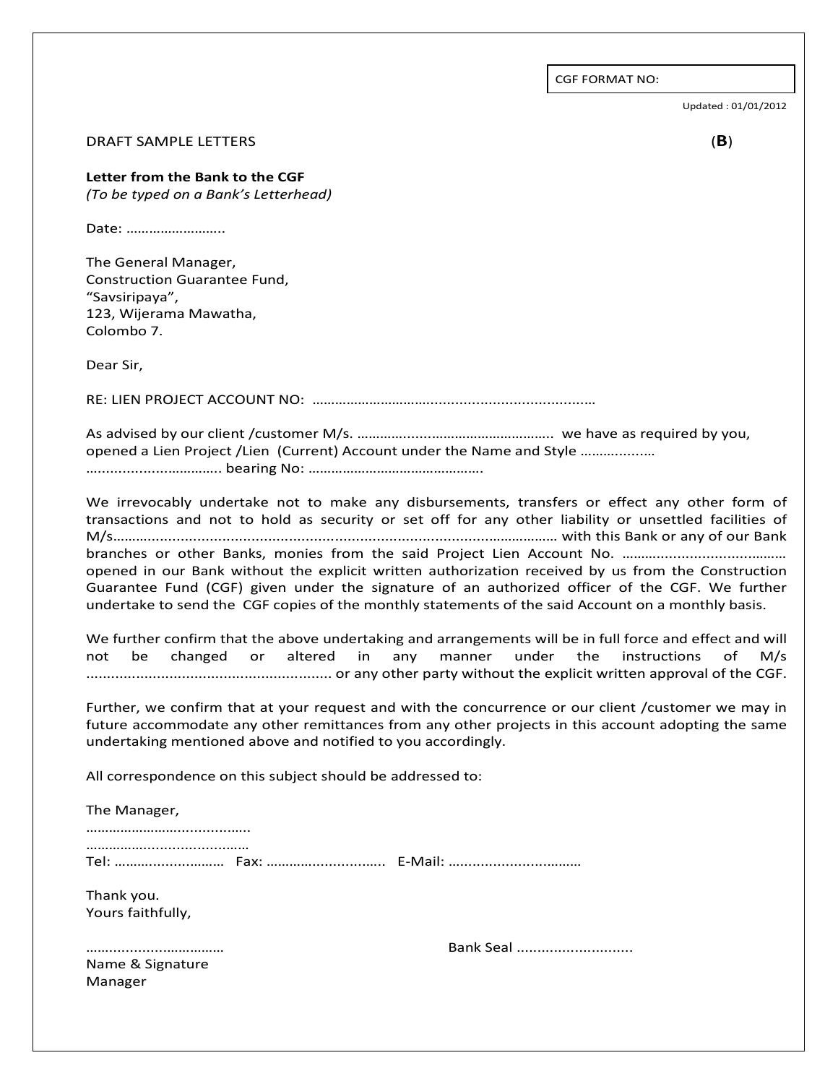CGF FORMAT NO:

Updated : 01/01/2012

#### DRAFT SAMPLE LETTERS (**B**)

#### **Letter from the Bank to the CGF**  *(To be typed on a Bank's Letterhead)*

Date: ……………………..

The General Manager, Construction Guarantee Fund, "Savsiripaya", 123, Wijerama Mawatha, Colombo 7.

Dear Sir,

RE: LIEN PROJECT ACCOUNT NO: …………………………......................................…

As advised by our client /customer M/s. ………….......………………………….. we have as required by you, opened a Lien Project /Lien (Current) Account under the Name and Style ……….......… ….................………….. bearing No: ……………………………………….

We irrevocably undertake not to make any disbursements, transfers or effect any other form of transactions and not to hold as security or set off for any other liability or unsettled facilities of M/s………..................................................................................……………… with this Bank or any of our Bank branches or other Banks, monies from the said Project Lien Account No. …………………………………… opened in our Bank without the explicit written authorization received by us from the Construction Guarantee Fund (CGF) given under the signature of an authorized officer of the CGF. We further undertake to send the CGF copies of the monthly statements of the said Account on a monthly basis.

We further confirm that the above undertaking and arrangements will be in full force and effect and will not be changed or altered in any manner under the instructions of M/s ........................................................... or any other party without the explicit written approval of the CGF.

Further, we confirm that at your request and with the concurrence or our client /customer we may in future accommodate any other remittances from any other projects in this account adopting the same undertaking mentioned above and notified to you accordingly.

All correspondence on this subject should be addressed to:

| The Manager,                    |                     |
|---------------------------------|---------------------|
|                                 | Tel:  Fax:  E-Mail: |
| Thank you.<br>Yours faithfully, |                     |
| <br>Name & Signature<br>Manager | Bank Seal           |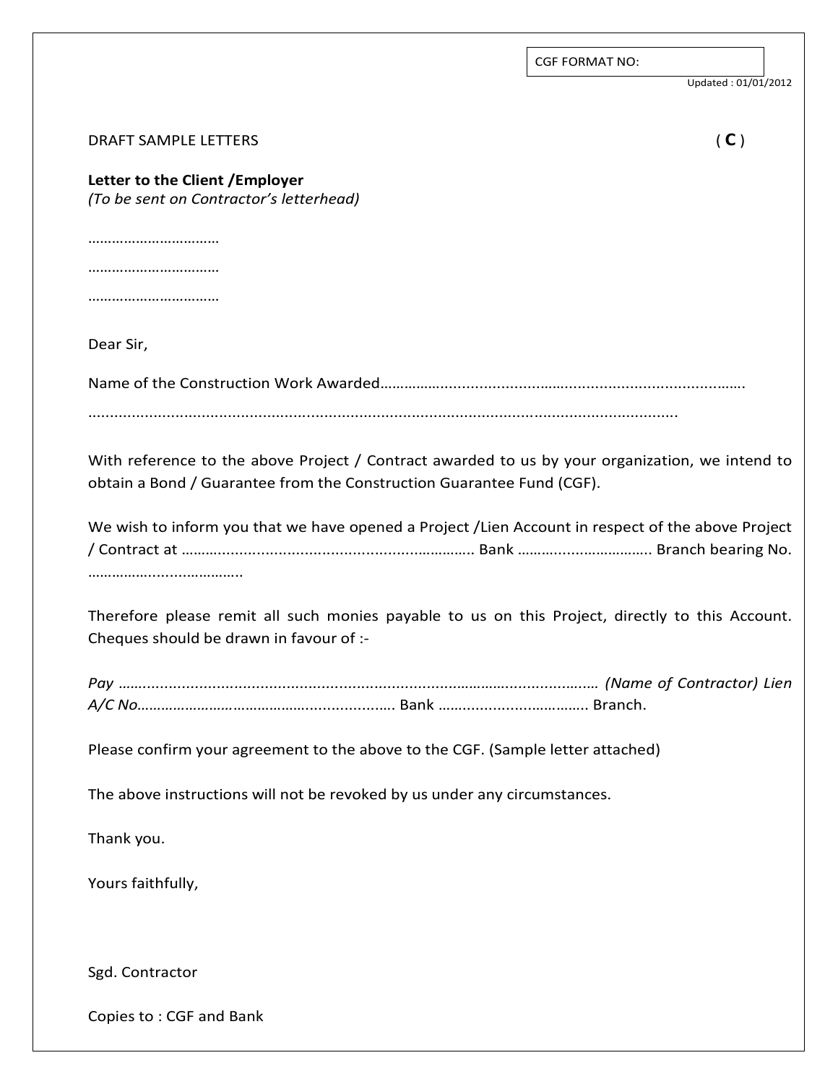|                                                                                                                                                                          | <b>CGF FORMAT NO:</b> |
|--------------------------------------------------------------------------------------------------------------------------------------------------------------------------|-----------------------|
|                                                                                                                                                                          | Updated: 01/01/2012   |
| <b>DRAFT SAMPLE LETTERS</b>                                                                                                                                              | (C)                   |
| Letter to the Client / Employer<br>(To be sent on Contractor's letterhead)                                                                                               |                       |
|                                                                                                                                                                          |                       |
|                                                                                                                                                                          |                       |
|                                                                                                                                                                          |                       |
| Dear Sir,                                                                                                                                                                |                       |
|                                                                                                                                                                          |                       |
| With reference to the above Project / Contract awarded to us by your organization, we intend to<br>obtain a Bond / Guarantee from the Construction Guarantee Fund (CGF). |                       |
| We wish to inform you that we have opened a Project /Lien Account in respect of the above Project<br>                                                                    |                       |
| Therefore please remit all such monies payable to us on this Project, directly to this Account.<br>Cheques should be drawn in favour of :-                               |                       |
|                                                                                                                                                                          |                       |
| Please confirm your agreement to the above to the CGF. (Sample letter attached)                                                                                          |                       |
| The above instructions will not be revoked by us under any circumstances.                                                                                                |                       |
| Thank you.                                                                                                                                                               |                       |
| Yours faithfully,                                                                                                                                                        |                       |
|                                                                                                                                                                          |                       |
| Sgd. Contractor                                                                                                                                                          |                       |
| Copies to: CGF and Bank                                                                                                                                                  |                       |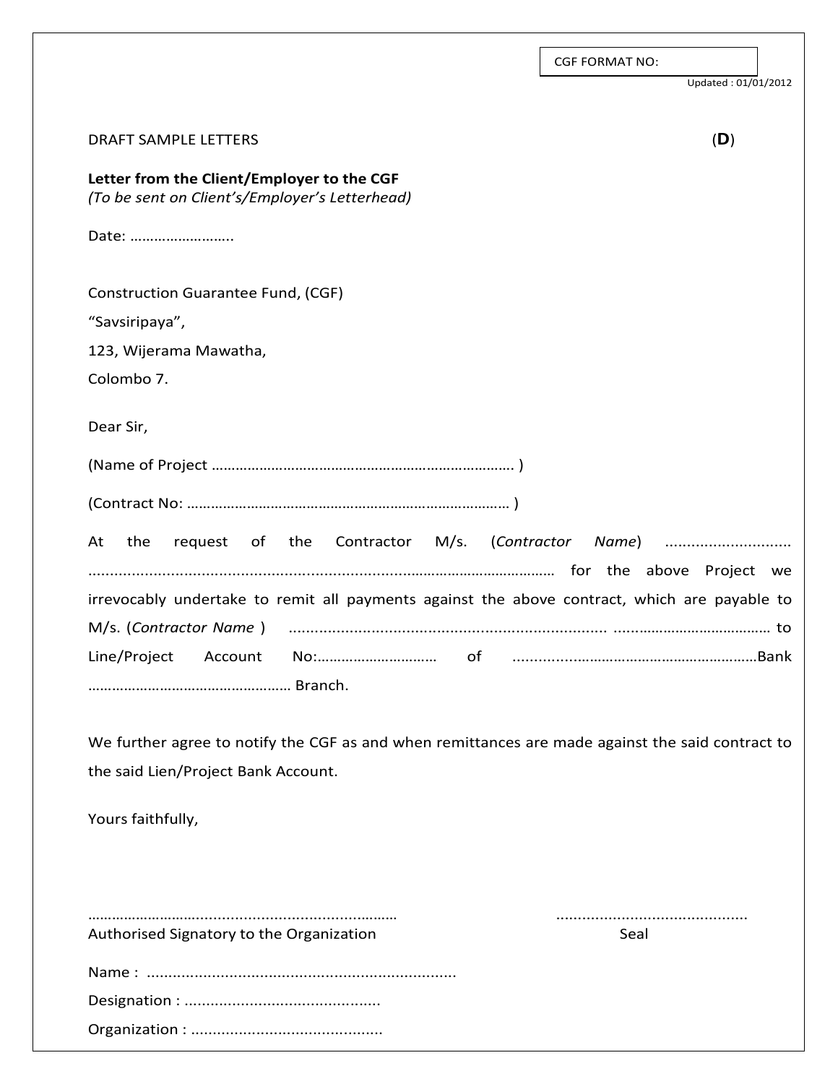|                                                                                                                                         | <b>CGF FORMAT NO:</b> |
|-----------------------------------------------------------------------------------------------------------------------------------------|-----------------------|
|                                                                                                                                         | Updated: 01/01/2012   |
| <b>DRAFT SAMPLE LETTERS</b>                                                                                                             | (D)                   |
| Letter from the Client/Employer to the CGF<br>(To be sent on Client's/Employer's Letterhead)                                            |                       |
| Date:                                                                                                                                   |                       |
| Construction Guarantee Fund, (CGF)                                                                                                      |                       |
| "Savsiripaya",                                                                                                                          |                       |
| 123, Wijerama Mawatha,                                                                                                                  |                       |
| Colombo 7.                                                                                                                              |                       |
| Dear Sir,                                                                                                                               |                       |
|                                                                                                                                         |                       |
|                                                                                                                                         |                       |
| request of the Contractor M/s. (Contractor Name)<br>the<br>At                                                                           |                       |
|                                                                                                                                         |                       |
| irrevocably undertake to remit all payments against the above contract, which are payable to                                            |                       |
| M/s. (Contractor Name)                                                                                                                  |                       |
| Line/Project<br>Account<br>No:<br>of                                                                                                    |                       |
| We further agree to notify the CGF as and when remittances are made against the said contract to<br>the said Lien/Project Bank Account. |                       |
|                                                                                                                                         |                       |
| Yours faithfully,                                                                                                                       |                       |
|                                                                                                                                         |                       |
| Authorised Signatory to the Organization                                                                                                | Seal                  |
|                                                                                                                                         |                       |
|                                                                                                                                         |                       |

Organization : ............................................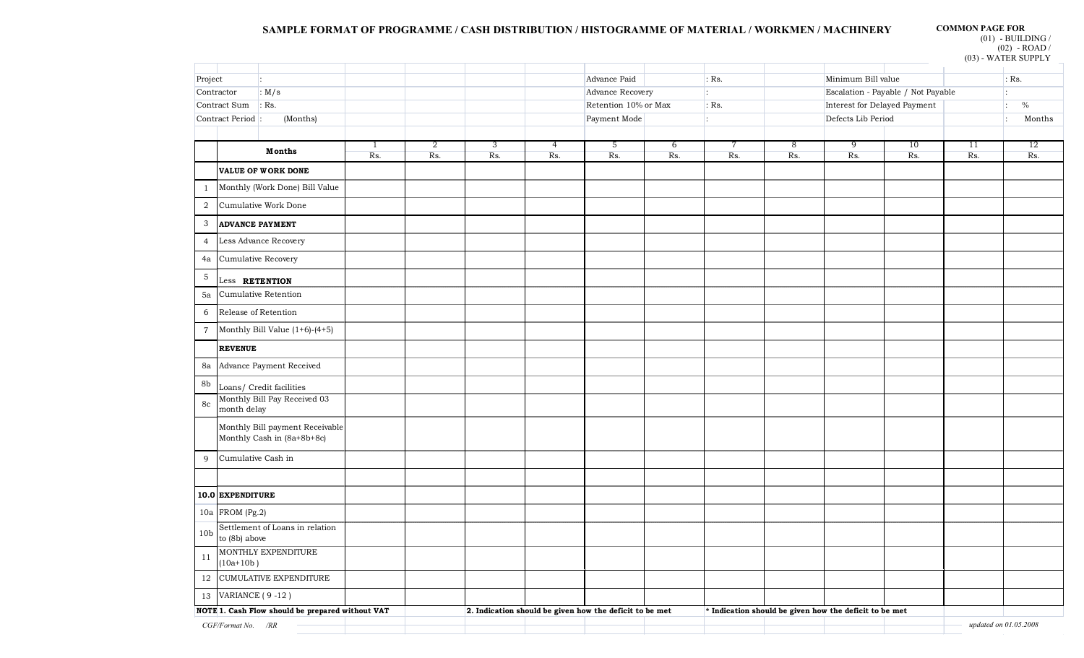### **SAMPLE FORMAT OF PROGRAMME / CASH DISTRIBUTION / HISTOGRAMME OF MATERIAL / WORKMEN / MACHINERY COMMON PAGE FOR**

 $(01)$  - BUILDING /

(02) - ROAD /

|                 |                        |                                                               |              |                |                    |                                                         |                      |     |         |     |                                                        |                                    |     | $(03)$ - WATER SUPPLY |
|-----------------|------------------------|---------------------------------------------------------------|--------------|----------------|--------------------|---------------------------------------------------------|----------------------|-----|---------|-----|--------------------------------------------------------|------------------------------------|-----|-----------------------|
| Project         |                        |                                                               |              |                |                    |                                                         | Advance Paid         |     | $:$ Rs. |     | Minimum Bill value                                     |                                    |     | $:$ Rs.               |
|                 | Contractor             | : $M/s$                                                       |              |                |                    |                                                         | Advance Recovery     |     | Ŀ.      |     |                                                        | Escalation - Payable / Not Payable |     |                       |
|                 | Contract Sum           | $:$ Rs.                                                       |              |                |                    |                                                         | Retention 10% or Max |     | $:$ Rs. |     | Interest for Delayed Payment                           |                                    |     | $\%$<br>÷             |
|                 | Contract Period :      | (Months)                                                      |              |                | Payment Mode<br>Ŀ. |                                                         |                      |     |         |     | Defects Lib Period                                     |                                    |     | Months<br>Ŀ           |
|                 |                        |                                                               |              |                |                    |                                                         |                      |     |         |     |                                                        |                                    |     |                       |
|                 |                        | <b>Months</b>                                                 | $\mathbf{1}$ | $\overline{2}$ | 3                  | 4                                                       | 5                    | 6   | 7       | 8   | 9                                                      | 10                                 | 11  | $12 \,$               |
|                 |                        | <b>VALUE OF WORK DONE</b>                                     | Rs.          | Rs.            | Rs.                | Rs.                                                     | Rs.                  | Rs. | Rs.     | Rs. | Rs.                                                    | Rs.                                | Rs. | Rs.                   |
|                 |                        | Monthly (Work Done) Bill Value                                |              |                |                    |                                                         |                      |     |         |     |                                                        |                                    |     |                       |
| 1               |                        |                                                               |              |                |                    |                                                         |                      |     |         |     |                                                        |                                    |     |                       |
| $\,2$           |                        | Cumulative Work Done                                          |              |                |                    |                                                         |                      |     |         |     |                                                        |                                    |     |                       |
| 3               | <b>ADVANCE PAYMENT</b> |                                                               |              |                |                    |                                                         |                      |     |         |     |                                                        |                                    |     |                       |
| $\overline{4}$  |                        | Less Advance Recovery                                         |              |                |                    |                                                         |                      |     |         |     |                                                        |                                    |     |                       |
| 4a              | Cumulative Recovery    |                                                               |              |                |                    |                                                         |                      |     |         |     |                                                        |                                    |     |                       |
| $\mathbf 5$     | Less RETENTION         |                                                               |              |                |                    |                                                         |                      |     |         |     |                                                        |                                    |     |                       |
| 5a              |                        | Cumulative Retention                                          |              |                |                    |                                                         |                      |     |         |     |                                                        |                                    |     |                       |
| 6               | Release of Retention   |                                                               |              |                |                    |                                                         |                      |     |         |     |                                                        |                                    |     |                       |
| $\overline{7}$  |                        | Monthly Bill Value $(1+6)-(4+5)$                              |              |                |                    |                                                         |                      |     |         |     |                                                        |                                    |     |                       |
|                 | <b>REVENUE</b>         |                                                               |              |                |                    |                                                         |                      |     |         |     |                                                        |                                    |     |                       |
| 8a              |                        | Advance Payment Received                                      |              |                |                    |                                                         |                      |     |         |     |                                                        |                                    |     |                       |
| 8b              |                        | Loans/ Credit facilities                                      |              |                |                    |                                                         |                      |     |         |     |                                                        |                                    |     |                       |
| 8c              | month delay            | Monthly Bill Pay Received 03                                  |              |                |                    |                                                         |                      |     |         |     |                                                        |                                    |     |                       |
|                 |                        |                                                               |              |                |                    |                                                         |                      |     |         |     |                                                        |                                    |     |                       |
|                 |                        | Monthly Bill payment Receivable<br>Monthly Cash in (8a+8b+8c) |              |                |                    |                                                         |                      |     |         |     |                                                        |                                    |     |                       |
| 9               | Cumulative Cash in     |                                                               |              |                |                    |                                                         |                      |     |         |     |                                                        |                                    |     |                       |
|                 |                        |                                                               |              |                |                    |                                                         |                      |     |         |     |                                                        |                                    |     |                       |
|                 |                        |                                                               |              |                |                    |                                                         |                      |     |         |     |                                                        |                                    |     |                       |
|                 | 10.0 EXPENDITURE       |                                                               |              |                |                    |                                                         |                      |     |         |     |                                                        |                                    |     |                       |
|                 | 10a FROM (Pg.2)        |                                                               |              |                |                    |                                                         |                      |     |         |     |                                                        |                                    |     |                       |
| 10 <sub>b</sub> | to $(8b)$ above        | Settlement of Loans in relation                               |              |                |                    |                                                         |                      |     |         |     |                                                        |                                    |     |                       |
| 11              | $(10a+10b)$            | MONTHLY EXPENDITURE                                           |              |                |                    |                                                         |                      |     |         |     |                                                        |                                    |     |                       |
|                 |                        | 12 CUMULATIVE EXPENDITURE                                     |              |                |                    |                                                         |                      |     |         |     |                                                        |                                    |     |                       |
|                 | 13 VARIANCE (9-12)     |                                                               |              |                |                    |                                                         |                      |     |         |     |                                                        |                                    |     |                       |
|                 |                        | NOTE 1. Cash Flow should be prepared without VAT              |              |                |                    | 2. Indication should be given how the deficit to be met |                      |     |         |     | * Indication should be given how the deficit to be met |                                    |     |                       |
|                 | CGF/Format No. /RR     |                                                               |              |                |                    |                                                         |                      |     |         |     |                                                        |                                    |     | updated on 01.05.2008 |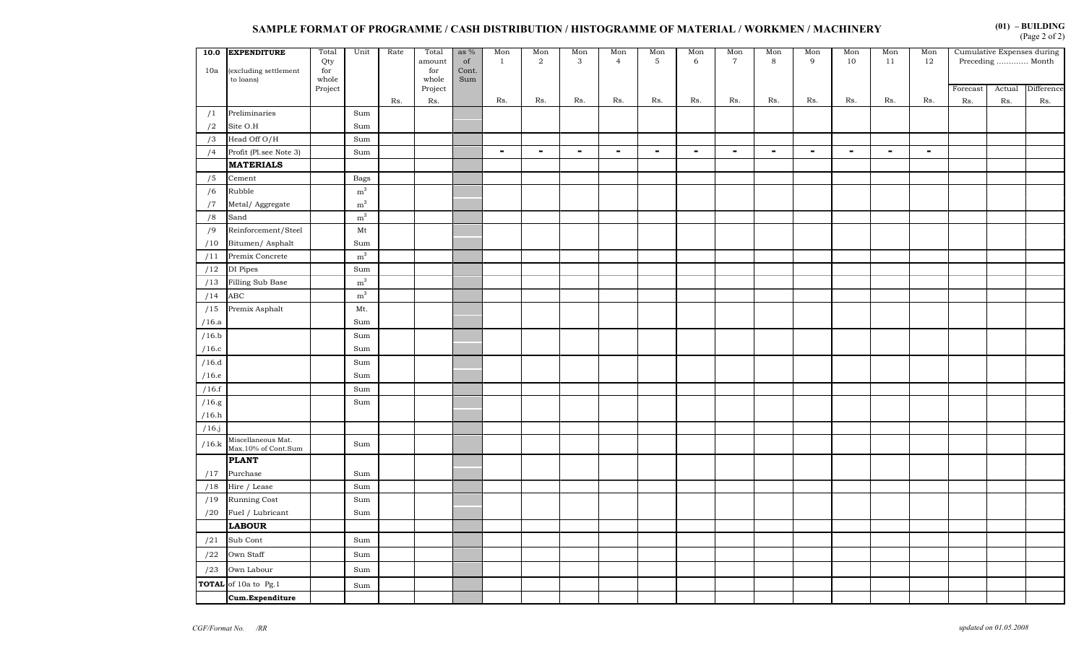# SAMPLE FORMAT OF PROGRAMME / CASH DISTRIBUTION / HISTOGRAMME OF MATERIAL / WORKMEN / MACHINERY **(Page 2 of 2)**

**(01) – BUILDING** 

| 10a   | 10.0 EXPENDITURE<br>excluding settlement<br>to loans) | Total<br>Qty<br>for<br>whole | Unit           | Rate | Total<br>amount<br>for<br>whole | as $%$<br>of<br>Cont.<br>Sum | Mon<br><sup>1</sup> | Mon<br>2       | Mon<br>$\mathbf{3}$ | Mon<br>$\overline{4}$ | Mon<br>5 | Mon<br>6 | Mon<br>$\overline{7}$ | Mon<br>8       | Mon<br>9 | Mon<br>10 | Mon<br>11      | Mon<br>12      |          | Cumulative Expenses during<br>Preceding  Month |            |
|-------|-------------------------------------------------------|------------------------------|----------------|------|---------------------------------|------------------------------|---------------------|----------------|---------------------|-----------------------|----------|----------|-----------------------|----------------|----------|-----------|----------------|----------------|----------|------------------------------------------------|------------|
|       |                                                       | Project                      |                |      | Project                         |                              |                     |                |                     |                       |          |          |                       |                |          |           |                |                | Forecast | Actual                                         | Difference |
|       |                                                       |                              |                | Rs.  | Rs.                             |                              | Rs.                 | Rs.            | Rs.                 | Rs.                   | Rs.      | Rs.      | Rs.                   | Rs.            | Rs.      | Rs.       | Rs.            | Rs.            | Rs.      | Rs.                                            | Rs.        |
| /1    | Preliminaries                                         |                              | Sum            |      |                                 |                              |                     |                |                     |                       |          |          |                       |                |          |           |                |                |          |                                                |            |
| /2    | Site O.H                                              |                              | Sum            |      |                                 |                              |                     |                |                     |                       |          |          |                       |                |          |           |                |                |          |                                                |            |
| /3    | Head Off O/H                                          |                              | Sum            |      |                                 |                              |                     |                |                     |                       |          |          |                       |                |          |           |                |                |          |                                                |            |
| /4    | Profit (Pl.see Note 3)                                |                              | Sum            |      |                                 |                              | $\blacksquare$      | $\blacksquare$ | $\sim$              | $\sim$                | $\sim$   | $\sim$   | $\sim$                | $\blacksquare$ | $\sim$   | $\sim$    | $\blacksquare$ | $\blacksquare$ |          |                                                |            |
|       | <b>MATERIALS</b>                                      |                              |                |      |                                 |                              |                     |                |                     |                       |          |          |                       |                |          |           |                |                |          |                                                |            |
| /5    | Cement                                                |                              | <b>Bags</b>    |      |                                 |                              |                     |                |                     |                       |          |          |                       |                |          |           |                |                |          |                                                |            |
| /6    | Rubble                                                |                              | m <sup>3</sup> |      |                                 |                              |                     |                |                     |                       |          |          |                       |                |          |           |                |                |          |                                                |            |
| /7    | Metal/ Aggregate                                      |                              | $\rm m^3$      |      |                                 |                              |                     |                |                     |                       |          |          |                       |                |          |           |                |                |          |                                                |            |
| /8    | Sand                                                  |                              | m <sup>3</sup> |      |                                 |                              |                     |                |                     |                       |          |          |                       |                |          |           |                |                |          |                                                |            |
| /9    | Reinforcement/Steel                                   |                              | Mt             |      |                                 |                              |                     |                |                     |                       |          |          |                       |                |          |           |                |                |          |                                                |            |
| /10   | Bitumen/ Asphalt                                      |                              | Sum            |      |                                 |                              |                     |                |                     |                       |          |          |                       |                |          |           |                |                |          |                                                |            |
| /11   | Premix Concrete                                       |                              | $\rm m^3$      |      |                                 |                              |                     |                |                     |                       |          |          |                       |                |          |           |                |                |          |                                                |            |
| /12   | DI Pipes                                              |                              | Sum            |      |                                 |                              |                     |                |                     |                       |          |          |                       |                |          |           |                |                |          |                                                |            |
| /13   | Filling Sub Base                                      |                              | m <sup>3</sup> |      |                                 |                              |                     |                |                     |                       |          |          |                       |                |          |           |                |                |          |                                                |            |
| /14   | ABC                                                   |                              | $\rm m^3$      |      |                                 |                              |                     |                |                     |                       |          |          |                       |                |          |           |                |                |          |                                                |            |
| /15   | Premix Asphalt                                        |                              | Mt.            |      |                                 |                              |                     |                |                     |                       |          |          |                       |                |          |           |                |                |          |                                                |            |
| /16.a |                                                       |                              | Sum            |      |                                 |                              |                     |                |                     |                       |          |          |                       |                |          |           |                |                |          |                                                |            |
| /16.b |                                                       |                              | Sum            |      |                                 |                              |                     |                |                     |                       |          |          |                       |                |          |           |                |                |          |                                                |            |
| /16.c |                                                       |                              | Sum            |      |                                 |                              |                     |                |                     |                       |          |          |                       |                |          |           |                |                |          |                                                |            |
| /16.d |                                                       |                              | Sum            |      |                                 |                              |                     |                |                     |                       |          |          |                       |                |          |           |                |                |          |                                                |            |
| /16.e |                                                       |                              | Sum            |      |                                 |                              |                     |                |                     |                       |          |          |                       |                |          |           |                |                |          |                                                |            |
| /16.f |                                                       |                              | Sum            |      |                                 |                              |                     |                |                     |                       |          |          |                       |                |          |           |                |                |          |                                                |            |
| /16.g |                                                       |                              | Sum            |      |                                 |                              |                     |                |                     |                       |          |          |                       |                |          |           |                |                |          |                                                |            |
| /16.h |                                                       |                              |                |      |                                 |                              |                     |                |                     |                       |          |          |                       |                |          |           |                |                |          |                                                |            |
| /16.j |                                                       |                              |                |      |                                 |                              |                     |                |                     |                       |          |          |                       |                |          |           |                |                |          |                                                |            |
| /16.k | Miscellaneous Mat.<br>Max.10% of Cont.Sum             |                              | Sum            |      |                                 |                              |                     |                |                     |                       |          |          |                       |                |          |           |                |                |          |                                                |            |
|       | <b>PLANT</b>                                          |                              |                |      |                                 |                              |                     |                |                     |                       |          |          |                       |                |          |           |                |                |          |                                                |            |
| /17   | Purchase                                              |                              | Sum            |      |                                 |                              |                     |                |                     |                       |          |          |                       |                |          |           |                |                |          |                                                |            |
| /18   | Hire / Lease                                          |                              | Sum            |      |                                 |                              |                     |                |                     |                       |          |          |                       |                |          |           |                |                |          |                                                |            |
| /19   | <b>Running Cost</b>                                   |                              | Sum            |      |                                 |                              |                     |                |                     |                       |          |          |                       |                |          |           |                |                |          |                                                |            |
| /20   | Fuel / Lubricant                                      |                              | Sum            |      |                                 |                              |                     |                |                     |                       |          |          |                       |                |          |           |                |                |          |                                                |            |
|       | <b>LABOUR</b>                                         |                              |                |      |                                 |                              |                     |                |                     |                       |          |          |                       |                |          |           |                |                |          |                                                |            |
| /21   | Sub Cont                                              |                              | Sum            |      |                                 |                              |                     |                |                     |                       |          |          |                       |                |          |           |                |                |          |                                                |            |
| /22   | Own Staff                                             |                              | Sum            |      |                                 |                              |                     |                |                     |                       |          |          |                       |                |          |           |                |                |          |                                                |            |
| /23   | Own Labour                                            |                              | Sum            |      |                                 |                              |                     |                |                     |                       |          |          |                       |                |          |           |                |                |          |                                                |            |
|       | TOTAL of 10a to Pg.1                                  |                              | Sum            |      |                                 |                              |                     |                |                     |                       |          |          |                       |                |          |           |                |                |          |                                                |            |
|       | Cum.Expenditure                                       |                              |                |      |                                 |                              |                     |                |                     |                       |          |          |                       |                |          |           |                |                |          |                                                |            |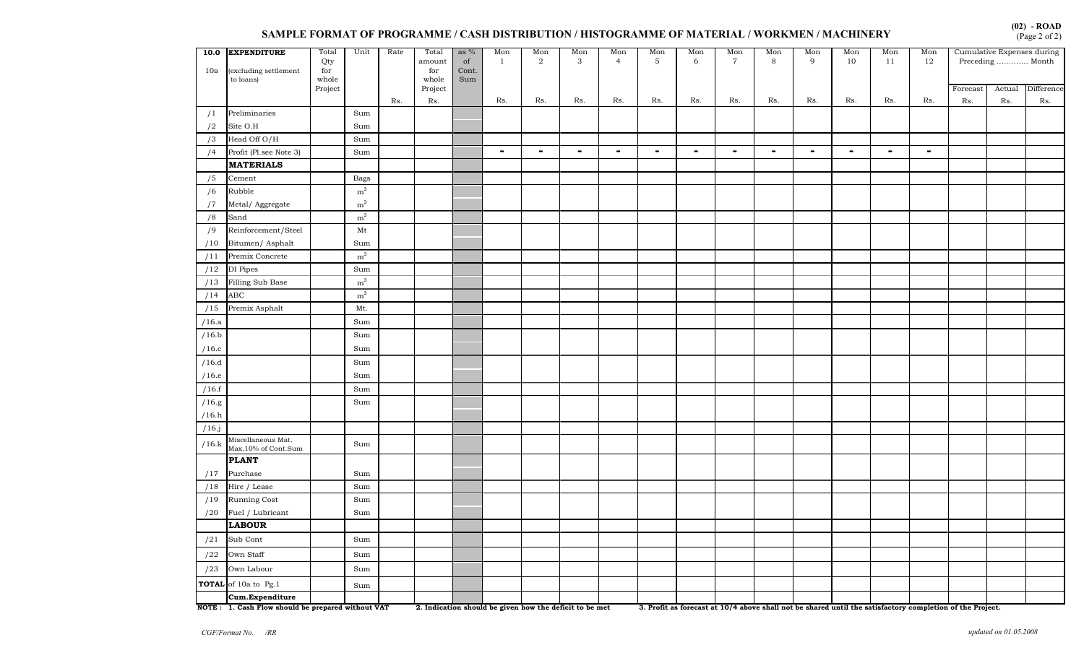#### **SAMPLE FORMAT OF PROGRAMME / CASH DISTRIBUTION / HISTOGRAMME OF MATERIAL / WORKMEN / MACHINERY**

| 10.0<br>10a   | <b>EXPENDITURE</b><br>(excluding settlement<br>to loans) | Total<br>Qty<br>for<br>whole | Unit               | Rate | Total<br>amount<br>for<br>whole | as $%$<br>of<br>Cont.<br>Sum | Mon<br>$\mathbf{1}$ | Mon<br>$\overline{2}$ | Mon<br>3 | Mon<br>$\overline{4}$ | Mon<br>$\mathbf{5}$ | Mon<br>6 | $\frac{\text{Mon}}{7}$ | Mon<br>8       | Mon<br>9       | Mon<br>10      | Mon<br>11      | Mon<br>12 | Cumulative Expenses during<br>Preceding  Month |               |                   |
|---------------|----------------------------------------------------------|------------------------------|--------------------|------|---------------------------------|------------------------------|---------------------|-----------------------|----------|-----------------------|---------------------|----------|------------------------|----------------|----------------|----------------|----------------|-----------|------------------------------------------------|---------------|-------------------|
|               |                                                          | Project                      |                    | Rs.  | Project<br>Rs.                  |                              | Rs.                 | Rs.                   | Rs.      | Rs.                   | Rs.                 | Rs.      | Rs.                    | Rs.            | Rs.            | Rs.            | Rs.            | Rs.       | Forecast<br>Rs.                                | Actual<br>Rs. | Difference<br>Rs. |
| /1            | Preliminaries                                            |                              | Sum                |      |                                 |                              |                     |                       |          |                       |                     |          |                        |                |                |                |                |           |                                                |               |                   |
| /2            | $\rm{Site}$ $\rm{O.H}$                                   |                              | Sum                |      |                                 |                              |                     |                       |          |                       |                     |          |                        |                |                |                |                |           |                                                |               |                   |
| /3            | Head Off O/H                                             |                              | Sum                |      |                                 |                              |                     |                       |          |                       |                     |          |                        |                |                |                |                |           |                                                |               |                   |
| /4            | Profit (Pl.see Note 3)                                   |                              | Sum                |      |                                 |                              | $\sim$              | $\blacksquare$        | $\sim$   | $\sim$                | $\blacksquare$      | $\sim$   | $\sim$                 | $\blacksquare$ | $\blacksquare$ | $\blacksquare$ | $\blacksquare$ | $\sim$    |                                                |               |                   |
|               | <b>MATERIALS</b>                                         |                              |                    |      |                                 |                              |                     |                       |          |                       |                     |          |                        |                |                |                |                |           |                                                |               |                   |
| /5            | Cement                                                   |                              | Bags               |      |                                 |                              |                     |                       |          |                       |                     |          |                        |                |                |                |                |           |                                                |               |                   |
| /6            | Rubble                                                   |                              | m <sup>3</sup>     |      |                                 |                              |                     |                       |          |                       |                     |          |                        |                |                |                |                |           |                                                |               |                   |
| $/\mathrm{7}$ | Metal/ Aggregate                                         |                              | $\rm m^3$          |      |                                 |                              |                     |                       |          |                       |                     |          |                        |                |                |                |                |           |                                                |               |                   |
| /8            | Sand                                                     |                              | m <sup>3</sup>     |      |                                 |                              |                     |                       |          |                       |                     |          |                        |                |                |                |                |           |                                                |               |                   |
| /9            | Reinforcement/Steel                                      |                              | Mt                 |      |                                 |                              |                     |                       |          |                       |                     |          |                        |                |                |                |                |           |                                                |               |                   |
| /10           | Bitumen/ Asphalt                                         |                              | Sum                |      |                                 |                              |                     |                       |          |                       |                     |          |                        |                |                |                |                |           |                                                |               |                   |
| /11           | Premix Concrete                                          |                              | $\rm m^3$          |      |                                 |                              |                     |                       |          |                       |                     |          |                        |                |                |                |                |           |                                                |               |                   |
| /12           | DI Pipes                                                 |                              | Sum                |      |                                 |                              |                     |                       |          |                       |                     |          |                        |                |                |                |                |           |                                                |               |                   |
| /13           | Filling Sub Base                                         |                              | m <sup>3</sup>     |      |                                 |                              |                     |                       |          |                       |                     |          |                        |                |                |                |                |           |                                                |               |                   |
| /14           | ABC                                                      |                              | $\rm m^3$          |      |                                 |                              |                     |                       |          |                       |                     |          |                        |                |                |                |                |           |                                                |               |                   |
| /15           | Premix Asphalt                                           |                              | $\mathop{\rm Mt}.$ |      |                                 |                              |                     |                       |          |                       |                     |          |                        |                |                |                |                |           |                                                |               |                   |
| /16.a         |                                                          |                              | Sum                |      |                                 |                              |                     |                       |          |                       |                     |          |                        |                |                |                |                |           |                                                |               |                   |
| /16.b         |                                                          |                              | Sum                |      |                                 |                              |                     |                       |          |                       |                     |          |                        |                |                |                |                |           |                                                |               |                   |
| /16.c         |                                                          |                              | Sum                |      |                                 |                              |                     |                       |          |                       |                     |          |                        |                |                |                |                |           |                                                |               |                   |
| /16.d         |                                                          |                              | Sum                |      |                                 |                              |                     |                       |          |                       |                     |          |                        |                |                |                |                |           |                                                |               |                   |
| /16.e         |                                                          |                              | Sum                |      |                                 |                              |                     |                       |          |                       |                     |          |                        |                |                |                |                |           |                                                |               |                   |
| /16.f         |                                                          |                              | Sum                |      |                                 |                              |                     |                       |          |                       |                     |          |                        |                |                |                |                |           |                                                |               |                   |
| /16.g         |                                                          |                              | Sum                |      |                                 |                              |                     |                       |          |                       |                     |          |                        |                |                |                |                |           |                                                |               |                   |
| /16.h         |                                                          |                              |                    |      |                                 |                              |                     |                       |          |                       |                     |          |                        |                |                |                |                |           |                                                |               |                   |
| $/16$ .j      |                                                          |                              |                    |      |                                 |                              |                     |                       |          |                       |                     |          |                        |                |                |                |                |           |                                                |               |                   |
| /16.k         | Miscellaneous Mat.<br>Max.10% of Cont.Sum                |                              | Sum                |      |                                 |                              |                     |                       |          |                       |                     |          |                        |                |                |                |                |           |                                                |               |                   |
|               | <b>PLANT</b>                                             |                              |                    |      |                                 |                              |                     |                       |          |                       |                     |          |                        |                |                |                |                |           |                                                |               |                   |
| /17           | Purchase                                                 |                              | Sum                |      |                                 |                              |                     |                       |          |                       |                     |          |                        |                |                |                |                |           |                                                |               |                   |
| /18           | Hire / Lease                                             |                              | Sum                |      |                                 |                              |                     |                       |          |                       |                     |          |                        |                |                |                |                |           |                                                |               |                   |
| /19           | Running Cost                                             |                              | Sum                |      |                                 |                              |                     |                       |          |                       |                     |          |                        |                |                |                |                |           |                                                |               |                   |
| /20           | Fuel / Lubricant                                         |                              | Sum                |      |                                 |                              |                     |                       |          |                       |                     |          |                        |                |                |                |                |           |                                                |               |                   |
|               | <b>LABOUR</b>                                            |                              |                    |      |                                 |                              |                     |                       |          |                       |                     |          |                        |                |                |                |                |           |                                                |               |                   |
| /21           | Sub Cont                                                 |                              | Sum                |      |                                 |                              |                     |                       |          |                       |                     |          |                        |                |                |                |                |           |                                                |               |                   |
| /22           | Own Staff                                                |                              | Sum                |      |                                 |                              |                     |                       |          |                       |                     |          |                        |                |                |                |                |           |                                                |               |                   |
| /23           | Own Labour                                               |                              | Sum                |      |                                 |                              |                     |                       |          |                       |                     |          |                        |                |                |                |                |           |                                                |               |                   |
| <b>TOTAL</b>  | of $10a$ to Pg.1                                         |                              | Sum                |      |                                 |                              |                     |                       |          |                       |                     |          |                        |                |                |                |                |           |                                                |               |                   |
|               | Cum.Expenditure                                          |                              |                    |      |                                 |                              |                     |                       |          |                       |                     |          |                        |                |                |                |                |           |                                                |               |                   |

NOTE: 1. Cash Flow should be prepared without VAT

2. Indication should be given how the deficit to be met 3. Profit as forecast at 10/4 above shall not be shared until the satisfactory completion of the Project.

**(02)** - **ROAD**<br>(Page 2 of 2)